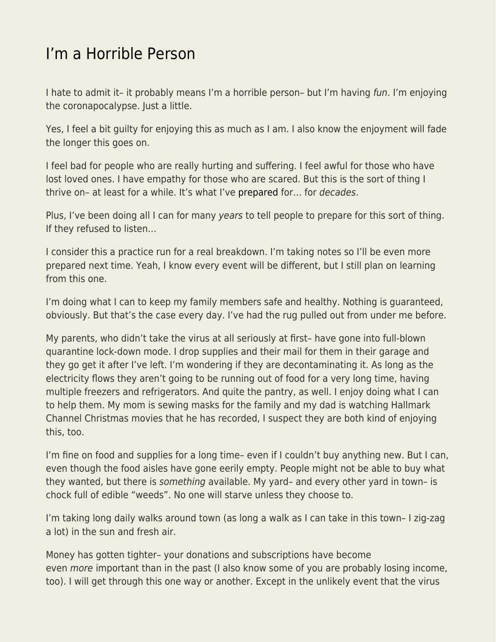## [I'm a Horrible Person](https://everything-voluntary.com/im-a-horrible-person)

I hate to admit it- it probably means I'm a horrible person- but I'm having fun. I'm enjoying the coronapocalypse. Just a little.

Yes, I feel a bit guilty for enjoying this as much as I am. I also know the enjoyment will fade the longer this goes on.

I feel bad for people who are really hurting and suffering. I feel awful for those who have lost loved ones. I have empathy for those who are scared. But this is the sort of thing I thrive on– at least for a while. It's what I've [prepared](https://www.kentforliberty.com/preparations.html) for… for decades.

Plus, I've been doing all I can for many years to tell people to prepare for this sort of thing. If they refused to listen…

I consider this a practice run for a real breakdown. I'm taking notes so I'll be even more prepared next time. Yeah, I know every event will be different, but I still plan on learning from this one.

I'm doing what I can to keep my family members safe and healthy. Nothing is guaranteed, obviously. But that's the case every day. I've had the rug pulled out from under me before.

My parents, who didn't take the virus at all seriously at first– have gone into full-blown quarantine lock-down mode. I drop supplies and their mail for them in their garage and they go get it after I've left. I'm wondering if they are decontaminating it. As long as the electricity flows they aren't going to be running out of food for a very long time, having multiple freezers and refrigerators. And quite the pantry, as well. I enjoy doing what I can to help them. My mom is sewing masks for the family and my dad is watching Hallmark Channel Christmas movies that he has recorded, I suspect they are both kind of enjoying this, too.

I'm fine on food and supplies for a long time– even if I couldn't buy anything new. But I can, even though the food aisles have gone eerily empty. People might not be able to buy what they wanted, but there is something available. My yard– and every other yard in town– is chock full of edible "weeds". No one will starve unless they choose to.

I'm taking long daily walks around town (as long a walk as I can take in this town– I zig-zag a lot) in the sun and fresh air.

Money has gotten tighter– your donations and subscriptions have become even *more* important than in the past (I also know some of you are probably losing income, too). I will get through this one way or another. Except in the unlikely event that the virus